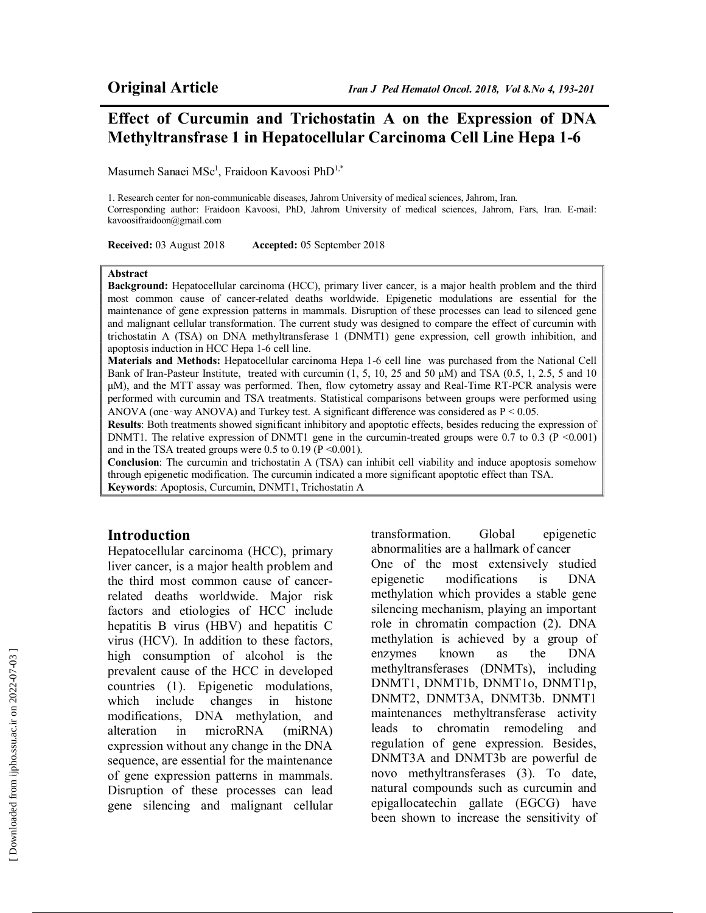# **Effect of Curcumin and Trichostatin A on the Expression of DNA Methyltransfrase 1 in Hepatocellular Carcinoma Cell Line Hepa 1-6**

Masumeh Sanaei MSc<sup>1</sup>, Fraidoon Kavoosi PhD<sup>1,\*</sup>

1. Research center for non-communicable diseases, Jahrom University of medical sciences, Jahrom, Iran. Corresponding author: Fraidoon Kavoosi, PhD, Jahrom University of medical sciences, Jahrom, Fars, Iran. E-mail: kavoosifraidoon@gmail.com

**Received:** 03 August 2018 **Accepted:** 05 September 2018

#### **Abstract**

**Background:** Hepatocellular carcinoma (HCC), primary liver cancer, is a major health problem and the third most common cause of cancer-related deaths worldwide. Epigenetic modulations are essential for the maintenance of gene expression patterns in mammals. Disruption of these processes can lead to silenced gene and malignant cellular transformation. The current study was designed to compare the effect of curcumin with trichostatin A (TSA) on DNA methyltransferase 1 (DNMT1) gene expression, cell growth inhibition, and apoptosis induction in HCC Hepa 1-6 cell line.

**Materials and Methods:** Hepatocellular carcinoma Hepa 1-6 cell line was purchased from the National Cell Bank of Iran-Pasteur Institute, treated with curcumin  $(1, 5, 10, 25, 10, 25)$  and  $(0.5, 1, 2.5, 5, 5)$  and 10 μM), and the MTT assay was performed. Then, flow cytometry assay and Real-Time RT-PCR analysis were performed with curcumin and TSA treatments. Statistical comparisons between groups were performed using ANOVA (one-way ANOVA) and Turkey test. A significant difference was considered as  $P \le 0.05$ .

**Results**: Both treatments showed significant inhibitory and apoptotic effects, besides reducing the expression of DNMT1. The relative expression of DNMT1 gene in the curcumin-treated groups were  $0.7$  to  $0.3$  (P <0.001) and in the TSA treated groups were  $0.5$  to  $0.19$  (P < 0.001).

**Conclusion**: The curcumin and trichostatin A (TSA) can inhibit cell viability and induce apoptosis somehow through epigenetic modification. The curcumin indicated a more significant apoptotic effect than TSA. **Keywords**: Apoptosis, Curcumin, DNMT1, Trichostatin A

### **Introduction**

Hepatocellular carcinoma (HCC), primary liver cancer, is a major health problem and the third most common cause of cancerrelated deaths worldwide. Major risk factors and etiologies of HCC include hepatitis B virus (HBV) and hepatitis C virus (HCV). In addition to these factors, high consumption of alcohol is the prevalent cause of the HCC in developed countries (1). Epigenetic modulations, which include changes in histone modifications, DNA methylation, and alteration in microRNA (miRNA) expression without any change in the DNA sequence, are essential for the maintenance of gene expression patterns in mammals. Disruption of these processes can lead gene silencing and malignant cellular transformation. Global epigenetic abnormalities are a hallmark of cancer One of the most extensively studied epigenetic modifications is DNA methylation which provides a stable gene silencing mechanism, playing an important role in chromatin compaction (2). DNA methylation is achieved by a group of enzymes known as the DNA methyltransferases (DNMTs), including DNMT1, DNMT1b, DNMT1o, DNMT1p, DNMT2, DNMT3A, DNMT3b. DNMT1 maintenances methyltransferase activity leads to chromatin remodeling and regulation of gene expression. Besides, DNMT3A and DNMT3b are powerful de novo methyltransferases (3). To date, natural compounds such as curcumin and epigallocatechin gallate (EGCG) have been shown to increase the sensitivity of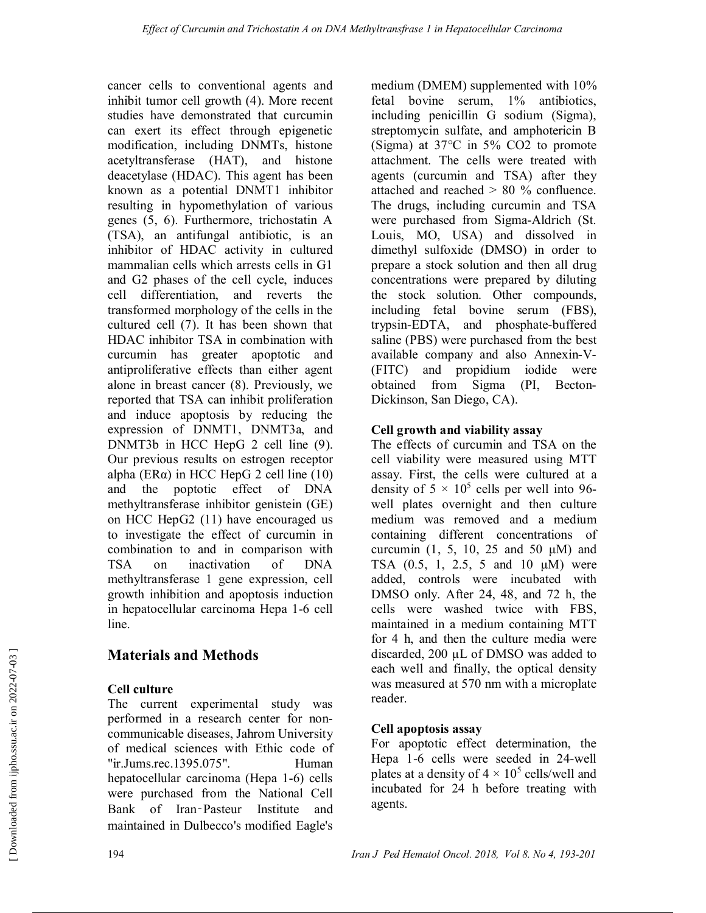cancer cells to conventional agents and inhibit tumor cell growth (4). More recent studies have demonstrated that curcumin can exert its effect through epigenetic modification, including DNMTs, histone acetyltransferase (HAT), and histone deacetylase (HDAC). This agent has been known as a potential DNMT1 inhibitor resulting in hypomethylation of various genes (5, 6). Furthermore, trichostatin A (TSA), an antifungal antibiotic, is an inhibitor of HDAC activity in cultured mammalian cells which arrests cells in G1 and G2 phases of the cell cycle, induces cell differentiation, and reverts the transformed morphology of the cells in the cultured cell (7). It has been shown that HDAC inhibitor TSA in combination with curcumin has greater apoptotic and antiproliferative effects than either agent alone in breast cancer (8). Previously, we reported that TSA can inhibit proliferation and induce apoptosis by reducing the expression of DNMT1, DNMT3a, and DNMT3b in HCC HepG 2 cell line (9). Our previous results on estrogen receptor alpha (ER $\alpha$ ) in HCC HepG 2 cell line (10) and the poptotic effect of DNA methyltransferase inhibitor genistein (GE) on HCC HepG2 (11) have encouraged us to investigate the effect of curcumin in combination to and in comparison with TSA on inactivation of DNA methyltransferase 1 gene expression, cell growth inhibition and apoptosis induction in hepatocellular carcinoma Hepa 1-6 cell line.

# **Materials and Methods**

# **Cell culture**

The current experimental study was performed in a research center for noncommunicable diseases, Jahrom University of medical sciences with Ethic code of "ir.Jums.rec.1395.075". Human hepatocellular carcinoma (Hepa 1-6) cells were purchased from the National Cell Bank of Iran‑Pasteur Institute and maintained in Dulbecco's modified Eagle's

medium (DMEM) supplemented with 10% fetal bovine serum, 1% antibiotics, including penicillin G sodium (Sigma), streptomycin sulfate, and amphotericin B (Sigma) at 37°C in 5% CO2 to promote attachment. The cells were treated with agents (curcumin and TSA) after they attached and reached > 80 % confluence. The drugs, including curcumin and TSA were purchased from Sigma-Aldrich (St. Louis, MO, USA) and dissolved in dimethyl sulfoxide (DMSO) in order to prepare a stock solution and then all drug concentrations were prepared by diluting the stock solution. Other compounds, including fetal bovine serum (FBS), trypsin-EDTA, and phosphate-buffered saline (PBS) were purchased from the best available company and also Annexin-V- (FITC) and propidium iodide were obtained from Sigma (PI, Becton-Dickinson, San Diego, CA).

# **Cell growth and viability assay**

The effects of curcumin and TSA on the cell viability were measured using MTT assay. First, the cells were cultured at a density of  $5 \times 10^5$  cells per well into 96well plates overnight and then culture medium was removed and a medium containing different concentrations of curcumin  $(1, 5, 10, 25, 10, 40)$  and TSA (0.5, 1, 2.5, 5 and 10 μM) were added, controls were incubated with DMSO only. After 24, 48, and 72 h, the cells were washed twice with FBS, maintained in a medium containing MTT for 4 h, and then the culture media were discarded, 200 µL of DMSO was added to each well and finally, the optical density was measured at 570 nm with a microplate reader.

# **Cell apoptosis assay**

For apoptotic effect determination, the Hepa 1-6 cells were seeded in 24-well plates at a density of  $4 \times 10^5$  cells/well and incubated for 24 h before treating with agents.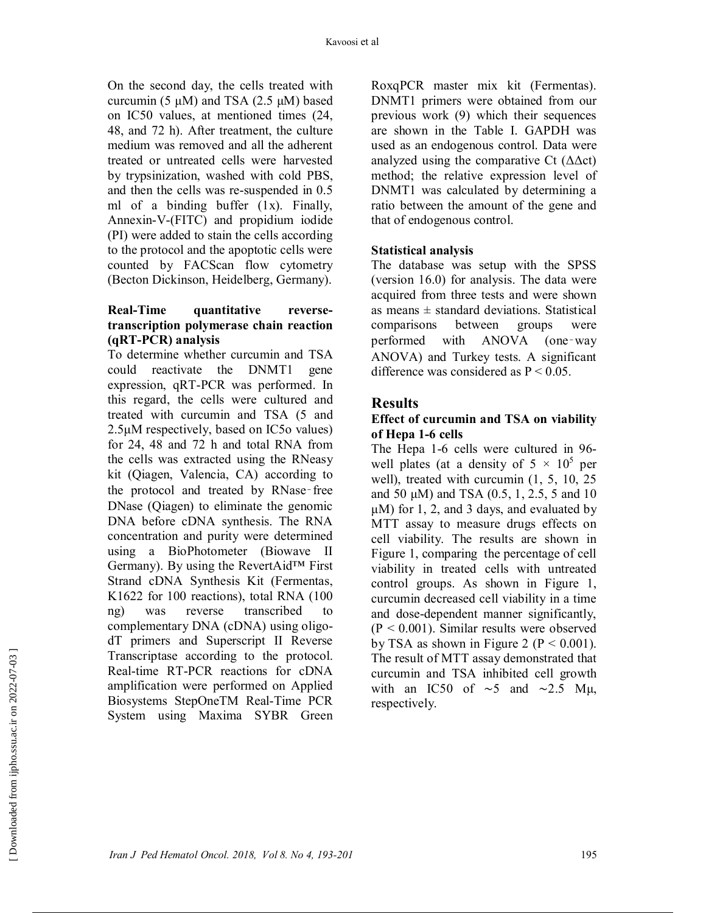On the second day, the cells treated with curcumin (5 μM) and TSA (2.5 μM) based on IC50 values, at mentioned times (24, 48, and 72 h). After treatment, the culture medium was removed and all the adherent treated or untreated cells were harvested by trypsinization, washed with cold PBS, and then the cells was re-suspended in 0.5 ml of a binding buffer (1x). Finally, Annexin-V-(FITC) and propidium iodide (PI) were added to stain the cells according to the protocol and the apoptotic cells were counted by FACScan flow cytometry (Becton Dickinson, Heidelberg, Germany).

#### **Real-Time quantitative reversetranscription polymerase chain reaction (qRT-PCR) analysis**

To determine whether curcumin and TSA could reactivate the DNMT1 gene expression, qRT-PCR was performed. In this regard, the cells were cultured and treated with curcumin and TSA (5 and 2.5μM respectively, based on IC5o values) for 24, 48 and 72 h and total RNA from the cells was extracted using the RNeasy kit (Qiagen, Valencia, CA) according to the protocol and treated by RNase‑free DNase (Qiagen) to eliminate the genomic DNA before cDNA synthesis. The RNA concentration and purity were determined using a BioPhotometer (Biowave II Germany). By using the RevertAid™ First Strand cDNA Synthesis Kit (Fermentas, K1622 for 100 reactions), total RNA (100 ng) was reverse transcribed to complementary DNA (cDNA) using oligodT primers and Superscript II Reverse Transcriptase according to the protocol. Real-time RT-PCR reactions for cDNA amplification were performed on Applied Biosystems StepOneTM Real-Time PCR System using Maxima SYBR Green

RoxqPCR master mix kit (Fermentas). DNMT1 primers were obtained from our previous work (9) which their sequences are shown in the Table I. GAPDH was used as an endogenous control. Data were analyzed using the comparative Ct  $(\Delta \Delta ct)$ method; the relative expression level of DNMT1 was calculated by determining a ratio between the amount of the gene and that of endogenous control.

### **Statistical analysis**

The database was setup with the SPSS (version 16.0) for analysis. The data were acquired from three tests and were shown as means  $\pm$  standard deviations. Statistical comparisons between groups were performed with ANOVA (one‑way ANOVA) and Turkey tests. A significant difference was considered as  $P \le 0.05$ .

### **Results**

### **Effect of curcumin and TSA on viability of Hepa 1-6 cells**

The Hepa 1-6 cells were cultured in 96 well plates (at a density of  $5 \times 10^5$  per well), treated with curcumin (1, 5, 10, 25 and 50 μM) and TSA (0.5, 1, 2.5, 5 and 10  $\mu$ M) for 1, 2, and 3 days, and evaluated by MTT assay to measure drugs effects on cell viability. The results are shown in Figure 1, comparing the percentage of cell viability in treated cells with untreated control groups. As shown in Figure 1, curcumin decreased cell viability in a time and dose-dependent manner significantly,  $(P < 0.001)$ . Similar results were observed by TSA as shown in Figure 2 ( $P < 0.001$ ). The result of MTT assay demonstrated that curcumin and TSA inhibited cell growth with an IC50 of ~5 and ~2.5 Mµ, respectively.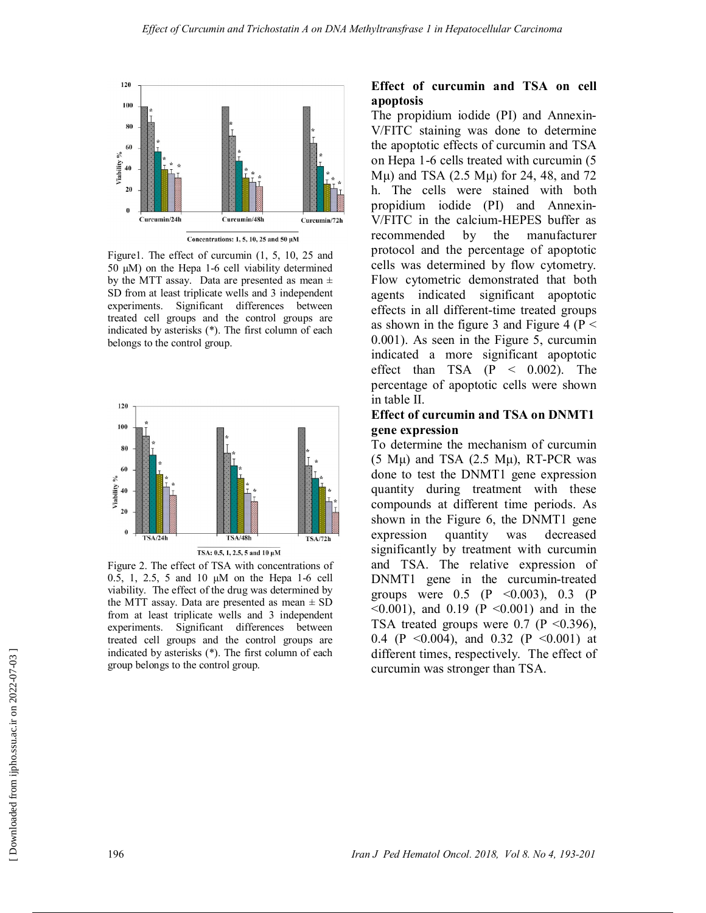

Figure1. The effect of curcumin (1, 5, 10, 25 and 50 μM) on the Hepa 1-6 cell viability determined by the MTT assay. Data are presented as mean  $\pm$ SD from at least triplicate wells and 3 independent experiments. Significant differences between treated cell groups and the control groups are indicated by asterisks (\*). The first column of each belongs to the control group.



Figure 2. The effect of TSA with concentrations of 0.5, 1, 2.5, 5 and 10 μM on the Hepa 1-6 cell viability. The effect of the drug was determined by the MTT assay. Data are presented as mean  $\pm$  SD from at least triplicate wells and 3 independent experiments. Significant differences between treated cell groups and the control groups are indicated by asterisks (\*). The first column of each group belongs to the control group.

#### **Effect of curcumin and TSA on cell apoptosis**

The propidium iodide (PI) and Annexin-V/FITC staining was done to determine the apoptotic effects of curcumin and TSA on Hepa 1-6 cells treated with curcumin (5 Mμ) and TSA (2.5 Mμ) for 24, 48, and 72 h. The cells were stained with both propidium iodide (PI) and Annexin-V/FITC in the calcium-HEPES buffer as recommended by the manufacturer protocol and the percentage of apoptotic cells was determined by flow cytometry. Flow cytometric demonstrated that both agents indicated significant apoptotic effects in all different-time treated groups as shown in the figure 3 and Figure 4 ( $P \le$ 0.001). As seen in the Figure 5, curcumin indicated a more significant apoptotic effect than TSA  $(P < 0.002)$ . The percentage of apoptotic cells were shown in table II.

#### **Effect of curcumin and TSA on DNMT1 gene expression**

To determine the mechanism of curcumin  $(5 Mµ)$  and TSA  $(2.5 Mµ)$ , RT-PCR was done to test the DNMT1 gene expression quantity during treatment with these compounds at different time periods. As shown in the Figure 6, the DNMT1 gene expression quantity was decreased significantly by treatment with curcumin and TSA. The relative expression of DNMT1 gene in the curcumin-treated groups were  $0.5$  (P < 0.003), 0.3 (P  $(0.001)$ , and  $(0.19)$  (P  $(0.001)$ ) and in the TSA treated groups were 0.7 ( $P \le 0.396$ ), 0.4 (P  $\leq$ 0.004), and 0.32 (P  $\leq$ 0.001) at different times, respectively. The effect of curcumin was stronger than TSA.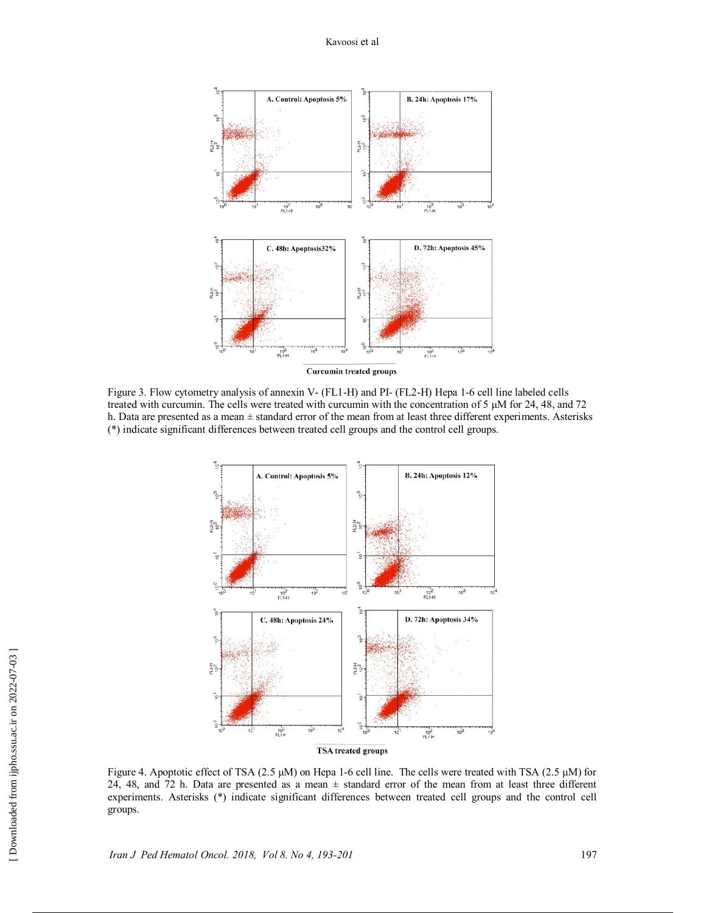

Figure 3. Flow cytometry analysis of annexin V- (FL1-H) and PI- (FL2-H) Hepa 1-6 cell line labeled cells treated with curcumin. The cells were treated with curcumin with the concentration of 5 μM for 24, 48, and 72 h. Data are presented as a mean  $\pm$  standard error of the mean from at least three different experiments. Asterisks (\*) indicate significant differences between treated cell groups and the control cell groups.



Figure 4. Apoptotic effect of TSA (2.5 μM) on Hepa 1-6 cell line. The cells were treated with TSA (2.5 μM) for 24, 48, and 72 h. Data are presented as a mean  $\pm$  standard error of the mean from at least three different experiments. Asterisks (\*) indicate significant differences between treated cell groups and the control cell groups.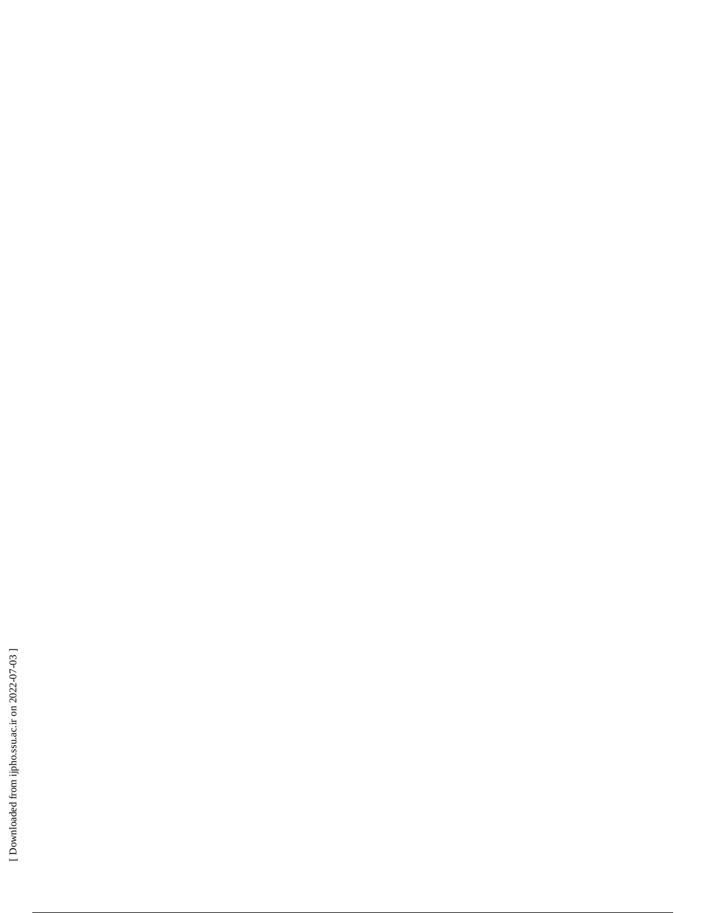[Downloaded from ijpho.ssu.ac.ir on 2022-07-03]  [\[ Downloaded from ijpho.ssu.ac.ir on 2022](http://ijpho.ssu.ac.ir/article-1-405-en.html)-07-03 ]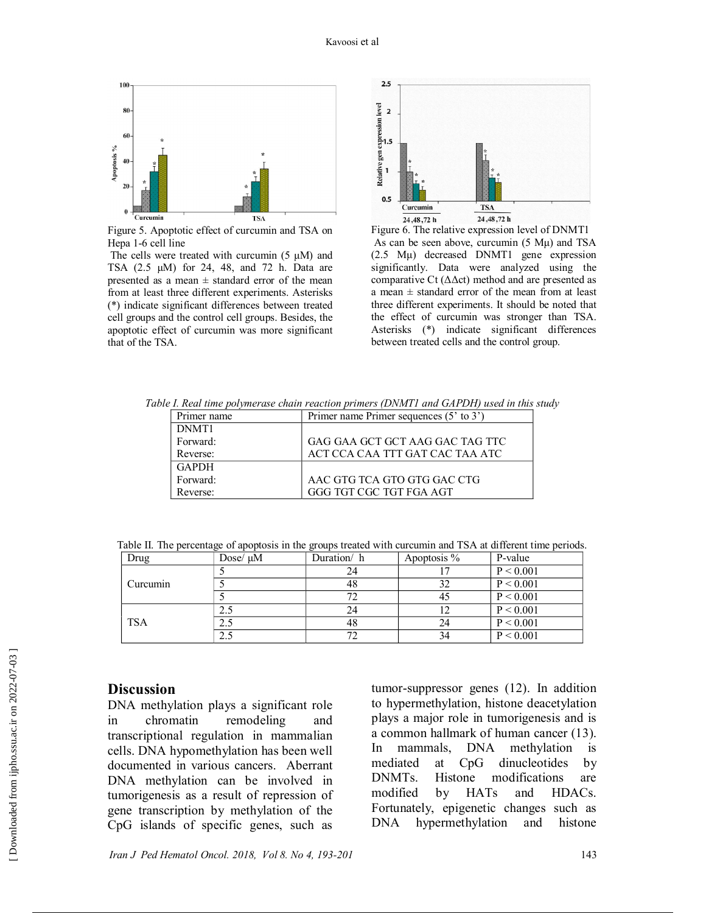

Figure 5. Apoptotic effect of curcumin and TSA on Hepa 1-6 cell line

The cells were treated with curcumin  $(5 \mu M)$  and TSA (2.5 μM) for 24, 48, and 72 h. Data are presented as a mean  $\pm$  standard error of the mean from at least three different experiments. Asterisks (\*) indicate significant differences between treated cell groups and the control cell groups. Besides, the apoptotic effect of curcumin was more significant that of the TSA.



Figure 6. The relative expression level of DNMT1 As can be seen above, curcumin  $(5 M<sub>\mu</sub>)$  and TSA (2.5 Mμ) decreased DNMT1 gene expression significantly. Data were analyzed using the comparative Ct  $(\Delta \Delta ct)$  method and are presented as a mean  $\pm$  standard error of the mean from at least three different experiments. It should be noted that the effect of curcumin was stronger than TSA. Asterisks (\*) indicate significant differences between treated cells and the control group.

*Table I. Real time polymerase chain reaction primers (DNMT1 and GAPDH) used in this study* 

| Primer name  | Primer name Primer sequences (5' to 3') |  |  |
|--------------|-----------------------------------------|--|--|
| DNMT1        |                                         |  |  |
| Forward:     | GAG GAA GCT GCT AAG GAC TAG TTC         |  |  |
| Reverse:     | ACT CCA CAA TTT GAT CAC TAA ATC         |  |  |
| <b>GAPDH</b> |                                         |  |  |
| Forward:     | AAC GTG TCA GTO GTG GAC CTG             |  |  |
| Reverse:     | GGG TGT CGC TGT FGA AGT                 |  |  |

Table II. The percentage of apoptosis in the groups treated with curcumin and TSA at different time periods.

| Drug       | Dose/ $\mu$ M | Duration/h | Apoptosis % | P-value   |
|------------|---------------|------------|-------------|-----------|
| Curcumin   |               | 24         |             | P < 0.001 |
|            |               | 48         | 32          | P < 0.001 |
|            |               |            | 45          | P < 0.001 |
| <b>TSA</b> | 2.5           | 24         | 12          | P < 0.001 |
|            | 2.5           | 48         | 24          | P < 0.001 |
|            | 2.5           | 72         | 34          | P < 0.001 |

#### **Discussion**

DNA methylation plays a significant role in chromatin remodeling and transcriptional regulation in mammalian cells. DNA hypomethylation has been well documented in various cancers. Aberrant DNA methylation can be involved in tumorigenesis as a result of repression of gene transcription by methylation of the CpG islands of specific genes, such as

tumor-suppressor genes (12). In addition to hypermethylation, histone deacetylation plays a major role in tumorigenesis and is a common hallmark of human cancer (13). In mammals, DNA methylation is mediated at CpG dinucleotides by DNMTs. Histone modifications are modified by HATs and HDACs. Fortunately, epigenetic changes such as DNA hypermethylation and histone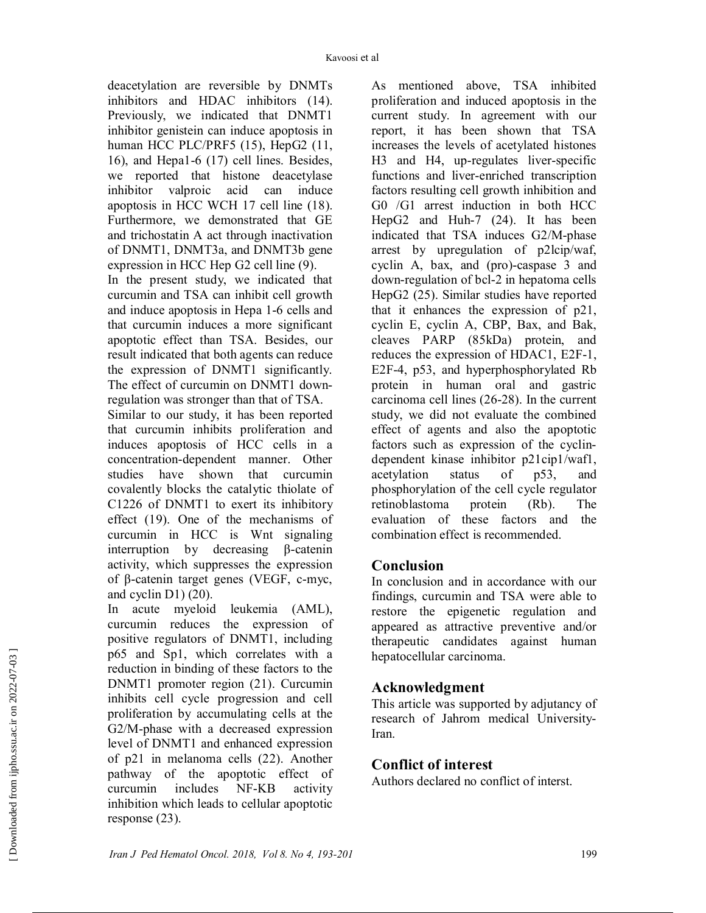deacetylation are reversible by DNMTs inhibitors and HDAC inhibitors (14). Previously, we indicated that DNMT1 inhibitor genistein can induce apoptosis in human HCC PLC/PRF5 (15), HepG2 (11, 16), and Hepa1-6 (17) cell lines. Besides, we reported that histone deacetylase inhibitor valproic acid can induce apoptosis in HCC WCH 17 cell line (18). Furthermore, we demonstrated that GE and trichostatin A act through inactivation of DNMT1, DNMT3a, and DNMT3b gene expression in HCC Hep G2 cell line (9).

In the present study, we indicated that curcumin and TSA can inhibit cell growth and induce apoptosis in Hepa 1-6 cells and that curcumin induces a more significant apoptotic effect than TSA. Besides, our result indicated that both agents can reduce the expression of DNMT1 significantly. The effect of curcumin on DNMT1 downregulation was stronger than that of TSA.

Similar to our study, it has been reported that curcumin inhibits proliferation and induces apoptosis of HCC cells in a concentration-dependent manner. Other studies have shown that curcumin covalently blocks the catalytic thiolate of C1226 of DNMT1 to exert its inhibitory effect (19). One of the mechanisms of curcumin in HCC is Wnt signaling interruption by decreasing β-catenin activity, which suppresses the expression of β-catenin target genes (VEGF, c-myc, and cyclin  $D1$ ) (20).

In acute myeloid leukemia (AML), curcumin reduces the expression of positive regulators of DNMT1, including p65 and Sp1, which correlates with a reduction in binding of these factors to the DNMT1 promoter region (21). Curcumin inhibits cell cycle progression and cell proliferation by accumulating cells at the G2/M-phase with a decreased expression level of DNMT1 and enhanced expression of p21 in melanoma cells (22). Another pathway of the apoptotic effect of curcumin includes NF-ΚB activity inhibition which leads to cellular apoptotic response (23).

As mentioned above, TSA inhibited proliferation and induced apoptosis in the current study. In agreement with our report, it has been shown that TSA increases the levels of acetylated histones H3 and H4, up-regulates liver-specific functions and liver-enriched transcription factors resulting cell growth inhibition and G0 /G1 arrest induction in both HCC HepG2 and Huh-7 (24). It has been indicated that TSA induces G2/M-phase arrest by upregulation of p2lcip/waf, cyclin A, bax, and (pro)-caspase 3 and down-regulation of bcl-2 in hepatoma cells HepG2 (25). Similar studies have reported that it enhances the expression of p21, cyclin E, cyclin A, CBP, Bax, and Bak, cleaves PARP (85kDa) protein, and reduces the expression of HDAC1, E2F-1, E2F-4, p53, and hyperphosphorylated Rb protein in human oral and gastric carcinoma cell lines (26-28). In the current study, we did not evaluate the combined effect of agents and also the apoptotic factors such as expression of the cyclindependent kinase inhibitor p21cip1/waf1, acetylation status of p53, and phosphorylation of the cell cycle regulator retinoblastoma protein (Rb). The evaluation of these factors and the combination effect is recommended.

# **Conclusion**

In conclusion and in accordance with our findings, curcumin and TSA were able to restore the epigenetic regulation and appeared as attractive preventive and/or therapeutic candidates against human hepatocellular carcinoma.

### **Acknowledgment**

This article was supported by adjutancy of research of Jahrom medical University-Iran.

### **Conflict of interest**

Authors declared no conflict of interst.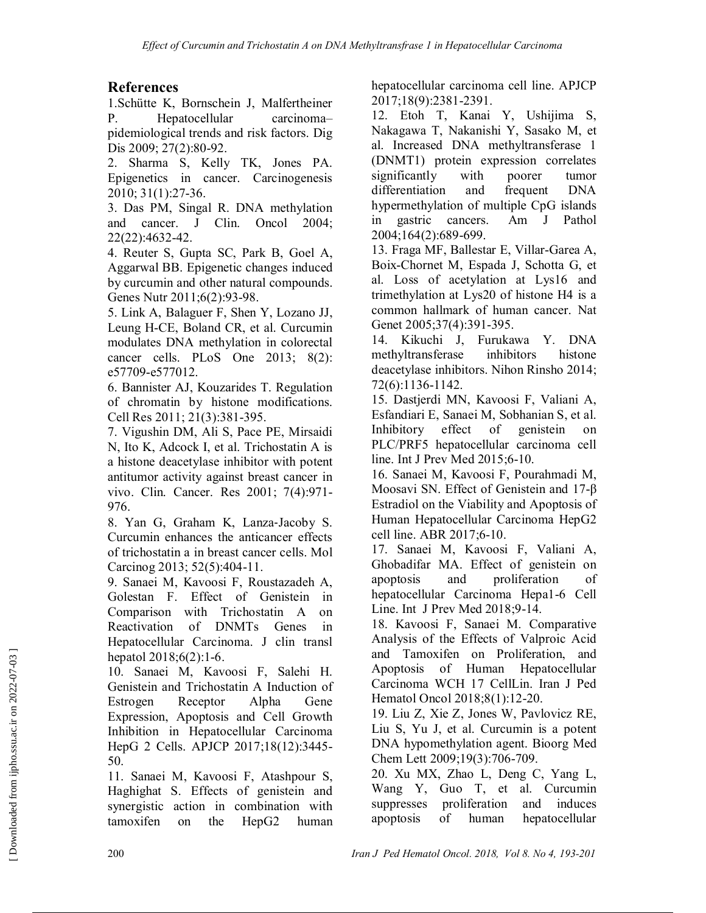# **References**

1.Schütte K, Bornschein J, Malfertheiner P. Hepatocellular carcinoma– pidemiological trends and risk factors. Dig Dis 2009; 27(2):80-92.

2. Sharma S, Kelly TK, Jones PA. Epigenetics in cancer. Carcinogenesis 2010; 31(1):27-36.

3. Das PM, Singal R. DNA methylation and cancer. J Clin. Oncol 2004; 22(22):4632-42.

4. Reuter S, Gupta SC, Park B, Goel A, Aggarwal BB. Epigenetic changes induced by curcumin and other natural compounds. Genes Nutr 2011;6(2):93-98.

5. Link A, Balaguer F, Shen Y, Lozano JJ, Leung H-CE, Boland CR, et al. Curcumin modulates DNA methylation in colorectal cancer cells. PLoS One 2013; 8(2): e57709-e577012.

6. Bannister AJ, Kouzarides T. Regulation of chromatin by histone modifications. Cell Res 2011; 21(3):381-395.

7. Vigushin DM, Ali S, Pace PE, Mirsaidi N, Ito K, Adcock I, et al. Trichostatin A is a histone deacetylase inhibitor with potent antitumor activity against breast cancer in vivo. Clin. Cancer. Res 2001; 7(4):971- 976.

8. Yan G, Graham K, Lanza‐Jacoby S. Curcumin enhances the anticancer effects of trichostatin a in breast cancer cells. Mol Carcinog 2013; 52(5):404-11.

9. Sanaei M, Kavoosi F, Roustazadeh A, Golestan F. Effect of Genistein in Comparison with Trichostatin A on Reactivation of DNMTs Genes in Hepatocellular Carcinoma. J clin transl hepatol 2018;6(2):1-6.

10. Sanaei M, Kavoosi F, Salehi H. Genistein and Trichostatin A Induction of Estrogen Receptor Alpha Gene Expression, Apoptosis and Cell Growth Inhibition in Hepatocellular Carcinoma HepG 2 Cells. APJCP 2017;18(12):3445- 50.

11. Sanaei M, Kavoosi F, Atashpour S, Haghighat S. Effects of genistein and synergistic action in combination with tamoxifen on the HepG2 human

hepatocellular carcinoma cell line. APJCP 2017;18(9):2381-2391.

12. Etoh T, Kanai Y, Ushijima S, Nakagawa T, Nakanishi Y, Sasako M, et al. Increased DNA methyltransferase 1 (DNMT1) protein expression correlates significantly with poorer tumor differentiation and frequent DNA hypermethylation of multiple CpG islands in gastric cancers. Am J Pathol 2004;164(2):689-699.

13. Fraga MF, Ballestar E, Villar-Garea A, Boix-Chornet M, Espada J, Schotta G, et al. Loss of acetylation at Lys16 and trimethylation at Lys20 of histone H4 is a common hallmark of human cancer. Nat Genet 2005;37(4):391-395.

14. Kikuchi J, Furukawa Y. DNA methyltransferase inhibitors histone deacetylase inhibitors. Nihon Rinsho 2014; 72(6):1136-1142.

15. Dastjerdi MN, Kavoosi F, Valiani A, Esfandiari E, Sanaei M, Sobhanian S, et al. Inhibitory effect of genistein on PLC/PRF5 hepatocellular carcinoma cell line. Int J Prev Med 2015;6-10.

16. Sanaei M, Kavoosi F, Pourahmadi M, Moosavi SN. Effect of Genistein and 17-β Estradiol on the Viability and Apoptosis of Human Hepatocellular Carcinoma HepG2 cell line. ABR 2017;6-10.

17. Sanaei M, Kavoosi F, Valiani A, Ghobadifar MA. Effect of genistein on apoptosis and proliferation of hepatocellular Carcinoma Hepa1-6 Cell Line. Int J Prev Med 2018;9-14.

18. Kavoosi F, Sanaei M. Comparative Analysis of the Effects of Valproic Acid and Tamoxifen on Proliferation, and Apoptosis of Human Hepatocellular Carcinoma WCH 17 CellLin. Iran J Ped Hematol Oncol 2018;8(1):12-20.

19. Liu Z, Xie Z, Jones W, Pavlovicz RE, Liu S, Yu J, et al. Curcumin is a potent DNA hypomethylation agent. Bioorg Med Chem Lett 2009;19(3):706-709.

20. Xu MX, Zhao L, Deng C, Yang L, Wang Y, Guo T, et al. Curcumin suppresses proliferation and induces apoptosis of human hepatocellular